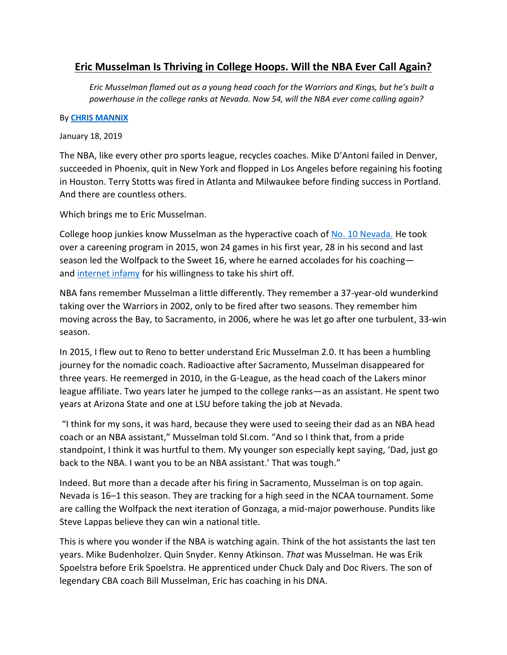## **Eric Musselman Is Thriving in College Hoops. Will the NBA Ever Call Again?**

*Eric Musselman flamed out as a young head coach for the Warriors and Kings, but he's built a powerhouse in the college ranks at Nevada. Now 54, will the NBA ever come calling again?*

## By **[CHRIS MANNIX](https://www.si.com/author/chris-mannix)**

January 18, 2019

The NBA, like every other pro sports league, recycles coaches. Mike D'Antoni failed in Denver, succeeded in Phoenix, quit in New York and flopped in Los Angeles before regaining his footing in Houston. Terry Stotts was fired in Atlanta and Milwaukee before finding success in Portland. And there are countless others.

Which brings me to Eric Musselman.

College hoop junkies know Musselman as the hyperactive coach of [No. 10 Nevada.](https://www.si.com/college-basketball/2019/01/14/ncaa-hoops-rankings-ap-poll-top-25-duke-ole-miss) He took over a careening program in 2015, won 24 games in his first year, 28 in his second and last season led the Wolfpack to the Sweet 16, where he earned accolades for his coaching and [internet infamy](https://www.si.com/college-basketball/2018/03/18/eric-musselman-shirtless-nevada-cincinnati-comeback-win-video) for his willingness to take his shirt off.

NBA fans remember Musselman a little differently. They remember a 37-year-old wunderkind taking over the Warriors in 2002, only to be fired after two seasons. They remember him moving across the Bay, to Sacramento, in 2006, where he was let go after one turbulent, 33-win season.

In 2015, I flew out to Reno to better understand Eric Musselman 2.0. It has been a humbling journey for the nomadic coach. Radioactive after Sacramento, Musselman disappeared for three years. He reemerged in 2010, in the G-League, as the head coach of the Lakers minor league affiliate. Two years later he jumped to the college ranks—as an assistant. He spent two years at Arizona State and one at LSU before taking the job at Nevada.

"I think for my sons, it was hard, because they were used to seeing their dad as an NBA head coach or an NBA assistant," Musselman told SI.com. "And so I think that, from a pride standpoint, I think it was hurtful to them. My younger son especially kept saying, 'Dad, just go back to the NBA. I want you to be an NBA assistant.' That was tough."

Indeed. But more than a decade after his firing in Sacramento, Musselman is on top again. Nevada is 16–1 this season. They are tracking for a high seed in the NCAA tournament. Some are calling the Wolfpack the next iteration of Gonzaga, a mid-major powerhouse. Pundits like Steve Lappas believe they can win a national title.

This is where you wonder if the NBA is watching again. Think of the hot assistants the last ten years. Mike Budenholzer. Quin Snyder. Kenny Atkinson. *That* was Musselman. He was Erik Spoelstra before Erik Spoelstra. He apprenticed under Chuck Daly and Doc Rivers. The son of legendary CBA coach Bill Musselman, Eric has coaching in his DNA.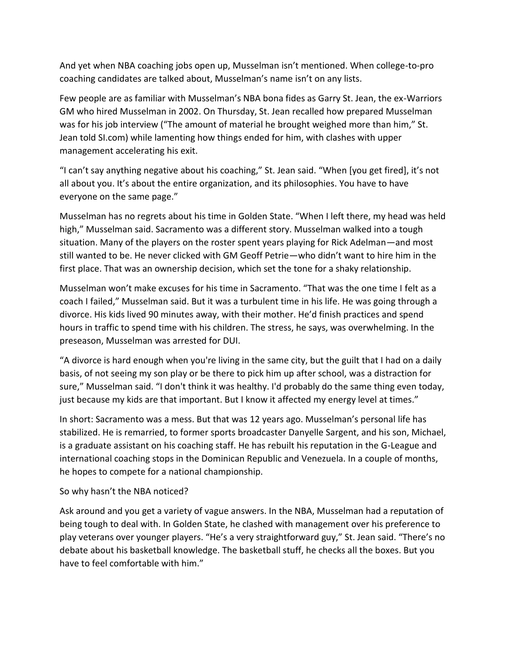And yet when NBA coaching jobs open up, Musselman isn't mentioned. When college-to-pro coaching candidates are talked about, Musselman's name isn't on any lists.

Few people are as familiar with Musselman's NBA bona fides as Garry St. Jean, the ex-Warriors GM who hired Musselman in 2002. On Thursday, St. Jean recalled how prepared Musselman was for his job interview ("The amount of material he brought weighed more than him," St. Jean told SI.com) while lamenting how things ended for him, with clashes with upper management accelerating his exit.

"I can't say anything negative about his coaching," St. Jean said. "When [you get fired], it's not all about you. It's about the entire organization, and its philosophies. You have to have everyone on the same page."

Musselman has no regrets about his time in Golden State. "When I left there, my head was held high," Musselman said. Sacramento was a different story. Musselman walked into a tough situation. Many of the players on the roster spent years playing for Rick Adelman—and most still wanted to be. He never clicked with GM Geoff Petrie—who didn't want to hire him in the first place. That was an ownership decision, which set the tone for a shaky relationship.

Musselman won't make excuses for his time in Sacramento. "That was the one time I felt as a coach I failed," Musselman said. But it was a turbulent time in his life. He was going through a divorce. His kids lived 90 minutes away, with their mother. He'd finish practices and spend hours in traffic to spend time with his children. The stress, he says, was overwhelming. In the preseason, Musselman was arrested for DUI.

"A divorce is hard enough when you're living in the same city, but the guilt that I had on a daily basis, of not seeing my son play or be there to pick him up after school, was a distraction for sure," Musselman said. "I don't think it was healthy. I'd probably do the same thing even today, just because my kids are that important. But I know it affected my energy level at times."

In short: Sacramento was a mess. But that was 12 years ago. Musselman's personal life has stabilized. He is remarried, to former sports broadcaster Danyelle Sargent, and his son, Michael, is a graduate assistant on his coaching staff. He has rebuilt his reputation in the G-League and international coaching stops in the Dominican Republic and Venezuela. In a couple of months, he hopes to compete for a national championship.

## So why hasn't the NBA noticed?

Ask around and you get a variety of vague answers. In the NBA, Musselman had a reputation of being tough to deal with. In Golden State, he clashed with management over his preference to play veterans over younger players. "He's a very straightforward guy," St. Jean said. "There's no debate about his basketball knowledge. The basketball stuff, he checks all the boxes. But you have to feel comfortable with him."